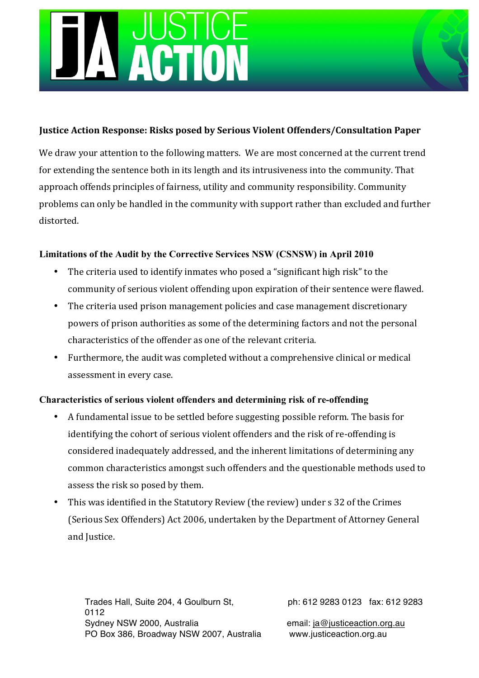## Justice Action Response: Risks posed by Serious Violent Offenders/Consultation Paper

We draw your attention to the following matters. We are most concerned at the current trend for extending the sentence both in its length and its intrusiveness into the community. That approach offends principles of fairness, utility and community responsibility. Community problems can only be handled in the community with support rather than excluded and further distorted.

# **Limitations of the Audit by the Corrective Services NSW (CSNSW) in April 2010**

- The criteria used to identify inmates who posed a "significant high risk" to the community of serious violent offending upon expiration of their sentence were flawed.
- The criteria used prison management policies and case management discretionary powers of prison authorities as some of the determining factors and not the personal characteristics of the offender as one of the relevant criteria.
- Furthermore, the audit was completed without a comprehensive clinical or medical assessment in every case.

## **Characteristics of serious violent offenders and determining risk of re-offending**

- A fundamental issue to be settled before suggesting possible reform. The basis for identifying the cohort of serious violent offenders and the risk of re-offending is considered inadequately addressed, and the inherent limitations of determining any common characteristics amongst such offenders and the questionable methods used to assess the risk so posed by them.
- This was identified in the Statutory Review (the review) under s 32 of the Crimes (Serious Sex Offenders) Act 2006, undertaken by the Department of Attorney General and Justice.

Trades Hall, Suite 204, 4 Goulburn St, ph: 612 9283 0123 fax: 612 9283 0112 Sydney NSW 2000, Australia email: ja@justiceaction.org.au PO Box 386, Broadway NSW 2007, Australia www.justiceaction.org.au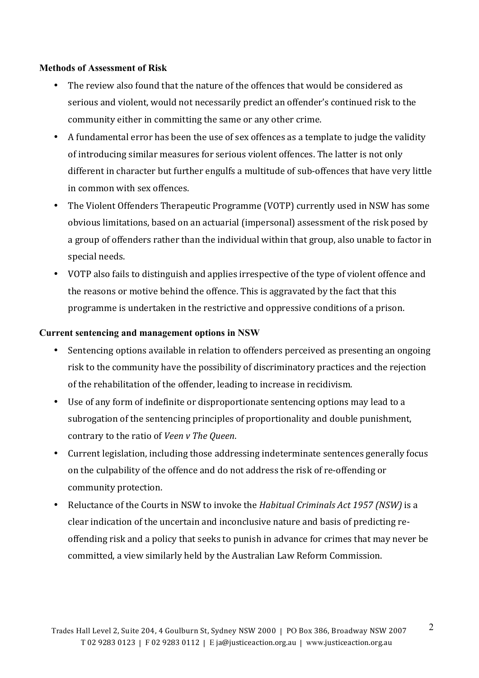#### **Methods of Assessment of Risk**

- The review also found that the nature of the offences that would be considered as serious and violent, would not necessarily predict an offender's continued risk to the community either in committing the same or any other crime.
- A fundamental error has been the use of sex offences as a template to judge the validity of introducing similar measures for serious violent offences. The latter is not only different in character but further engulfs a multitude of sub-offences that have very little in common with sex offences.
- The Violent Offenders Therapeutic Programme (VOTP) currently used in NSW has some obvious limitations, based on an actuarial (impersonal) assessment of the risk posed by a group of offenders rather than the individual within that group, also unable to factor in special needs.
- VOTP also fails to distinguish and applies irrespective of the type of violent offence and the reasons or motive behind the offence. This is aggravated by the fact that this programme is undertaken in the restrictive and oppressive conditions of a prison.

### **Current sentencing and management options in NSW**

- Sentencing options available in relation to offenders perceived as presenting an ongoing risk to the community have the possibility of discriminatory practices and the rejection of the rehabilitation of the offender, leading to increase in recidivism.
- Use of any form of indefinite or disproportionate sentencing options may lead to a subrogation of the sentencing principles of proportionality and double punishment, contrary to the ratio of *Veen v The Queen*.
- Current legislation, including those addressing indeterminate sentences generally focus on the culpability of the offence and do not address the risk of re-offending or community protection.
- Freluctance of the Courts in NSW to invoke the *Habitual Criminals Act 1957 (NSW)* is a clear indication of the uncertain and inconclusive nature and basis of predicting reoffending risk and a policy that seeks to punish in advance for crimes that may never be committed, a view similarly held by the Australian Law Reform Commission.